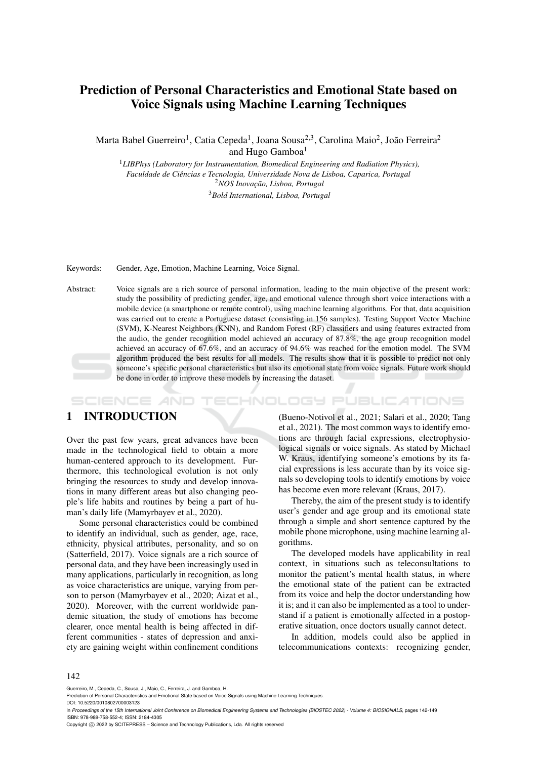# Prediction of Personal Characteristics and Emotional State based on Voice Signals using Machine Learning Techniques

Marta Babel Guerreiro<sup>1</sup>, Catia Cepeda<sup>1</sup>, Joana Sousa<sup>2,3</sup>, Carolina Maio<sup>2</sup>, João Ferreira<sup>2</sup> and Hugo Gamboa<sup>1</sup>

<sup>1</sup>*LIBPhys (Laboratory for Instrumentation, Biomedical Engineering and Radiation Physics), Faculdade de Ciencias e Tecnologia, Universidade Nova de Lisboa, Caparica, Portugal ˆ* <sup>2</sup>*NOS Inovação, Lisboa, Portugal* <sup>3</sup>*Bold International, Lisboa, Portugal*

Keywords: Gender, Age, Emotion, Machine Learning, Voice Signal.

Abstract: Voice signals are a rich source of personal information, leading to the main objective of the present work: study the possibility of predicting gender, age, and emotional valence through short voice interactions with a mobile device (a smartphone or remote control), using machine learning algorithms. For that, data acquisition was carried out to create a Portuguese dataset (consisting in 156 samples). Testing Support Vector Machine (SVM), K-Nearest Neighbors (KNN), and Random Forest (RF) classifiers and using features extracted from the audio, the gender recognition model achieved an accuracy of 87.8%, the age group recognition model achieved an accuracy of 67.6%, and an accuracy of 94.6% was reached for the emotion model. The SVM algorithm produced the best results for all models. The results show that it is possible to predict not only someone's specific personal characteristics but also its emotional state from voice signals. Future work should be done in order to improve these models by increasing the dataset.

TECHNOLOGY PUBLICATIONS SCIENCE *A*ND

## 1 INTRODUCTION

Over the past few years, great advances have been made in the technological field to obtain a more human-centered approach to its development. Furthermore, this technological evolution is not only bringing the resources to study and develop innovations in many different areas but also changing people's life habits and routines by being a part of human's daily life (Mamyrbayev et al., 2020).

Some personal characteristics could be combined to identify an individual, such as gender, age, race, ethnicity, physical attributes, personality, and so on (Satterfield, 2017). Voice signals are a rich source of personal data, and they have been increasingly used in many applications, particularly in recognition, as long as voice characteristics are unique, varying from person to person (Mamyrbayev et al., 2020; Aizat et al., 2020). Moreover, with the current worldwide pandemic situation, the study of emotions has become clearer, once mental health is being affected in different communities - states of depression and anxiety are gaining weight within confinement conditions

(Bueno-Notivol et al., 2021; Salari et al., 2020; Tang et al., 2021). The most common ways to identify emotions are through facial expressions, electrophysiological signals or voice signals. As stated by Michael W. Kraus, identifying someone's emotions by its facial expressions is less accurate than by its voice signals so developing tools to identify emotions by voice has become even more relevant (Kraus, 2017).

Thereby, the aim of the present study is to identify user's gender and age group and its emotional state through a simple and short sentence captured by the mobile phone microphone, using machine learning algorithms.

The developed models have applicability in real context, in situations such as teleconsultations to monitor the patient's mental health status, in where the emotional state of the patient can be extracted from its voice and help the doctor understanding how it is; and it can also be implemented as a tool to understand if a patient is emotionally affected in a postoperative situation, once doctors usually cannot detect.

In addition, models could also be applied in telecommunications contexts: recognizing gender,

#### 142

Guerreiro, M., Cepeda, C., Sousa, J., Maio, C., Ferreira, J. and Gamboa, H.

In *Proceedings of the 15th International Joint Conference on Biomedical Engineering Systems and Technologies (BIOSTEC 2022) - Volume 4: BIOSIGNALS*, pages 142-149 ISBN: 978-989-758-552-4; ISSN: 2184-4305

Copyright © 2022 by SCITEPRESS - Science and Technology Publications, Lda. All rights reserved

Prediction of Personal Characteristics and Emotional State based on Voice Signals using Machine Learning Techniques.

DOI: 10.5220/0010802700003123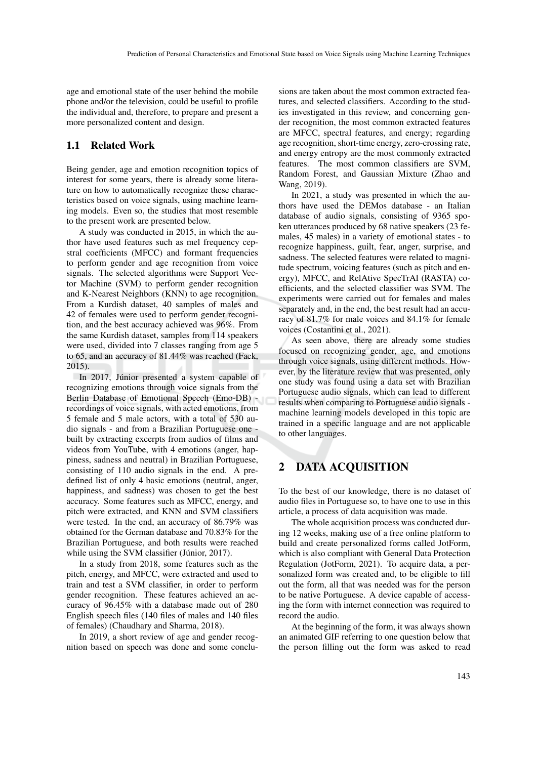age and emotional state of the user behind the mobile phone and/or the television, could be useful to profile the individual and, therefore, to prepare and present a more personalized content and design.

### 1.1 Related Work

Being gender, age and emotion recognition topics of interest for some years, there is already some literature on how to automatically recognize these characteristics based on voice signals, using machine learning models. Even so, the studies that most resemble to the present work are presented below.

A study was conducted in 2015, in which the author have used features such as mel frequency cepstral coefficients (MFCC) and formant frequencies to perform gender and age recognition from voice signals. The selected algorithms were Support Vector Machine (SVM) to perform gender recognition and K-Nearest Neighbors (KNN) to age recognition. From a Kurdish dataset, 40 samples of males and 42 of females were used to perform gender recognition, and the best accuracy achieved was 96%. From the same Kurdish dataset, samples from 114 speakers were used, divided into 7 classes ranging from age 5 to 65, and an accuracy of 81.44% was reached (Faek, 2015).

In 2017, Júnior presented a system capable of recognizing emotions through voice signals from the Berlin Database of Emotional Speech (Emo-DB) recordings of voice signals, with acted emotions, from 5 female and 5 male actors, with a total of 530 audio signals - and from a Brazilian Portuguese one built by extracting excerpts from audios of films and videos from YouTube, with 4 emotions (anger, happiness, sadness and neutral) in Brazilian Portuguese, consisting of 110 audio signals in the end. A predefined list of only 4 basic emotions (neutral, anger, happiness, and sadness) was chosen to get the best accuracy. Some features such as MFCC, energy, and pitch were extracted, and KNN and SVM classifiers were tested. In the end, an accuracy of 86.79% was obtained for the German database and 70.83% for the Brazilian Portuguese, and both results were reached while using the SVM classifier (Júnior,  $2017$ ).

In a study from 2018, some features such as the pitch, energy, and MFCC, were extracted and used to train and test a SVM classifier, in order to perform gender recognition. These features achieved an accuracy of 96.45% with a database made out of 280 English speech files (140 files of males and 140 files of females) (Chaudhary and Sharma, 2018).

In 2019, a short review of age and gender recognition based on speech was done and some conclusions are taken about the most common extracted features, and selected classifiers. According to the studies investigated in this review, and concerning gender recognition, the most common extracted features are MFCC, spectral features, and energy; regarding age recognition, short-time energy, zero-crossing rate, and energy entropy are the most commonly extracted features. The most common classifiers are SVM, Random Forest, and Gaussian Mixture (Zhao and Wang, 2019).

In 2021, a study was presented in which the authors have used the DEMos database - an Italian database of audio signals, consisting of 9365 spoken utterances produced by 68 native speakers (23 females, 45 males) in a variety of emotional states - to recognize happiness, guilt, fear, anger, surprise, and sadness. The selected features were related to magnitude spectrum, voicing features (such as pitch and energy), MFCC, and RelAtive SpecTrAl (RASTA) coefficients, and the selected classifier was SVM. The experiments were carried out for females and males separately and, in the end, the best result had an accuracy of 81.7% for male voices and 84.1% for female voices (Costantini et al., 2021).

As seen above, there are already some studies focused on recognizing gender, age, and emotions through voice signals, using different methods. However, by the literature review that was presented, only one study was found using a data set with Brazilian Portuguese audio signals, which can lead to different results when comparing to Portuguese audio signals machine learning models developed in this topic are trained in a specific language and are not applicable to other languages.

## 2 DATA ACQUISITION

To the best of our knowledge, there is no dataset of audio files in Portuguese so, to have one to use in this article, a process of data acquisition was made.

The whole acquisition process was conducted during 12 weeks, making use of a free online platform to build and create personalized forms called JotForm, which is also compliant with General Data Protection Regulation (JotForm, 2021). To acquire data, a personalized form was created and, to be eligible to fill out the form, all that was needed was for the person to be native Portuguese. A device capable of accessing the form with internet connection was required to record the audio.

At the beginning of the form, it was always shown an animated GIF referring to one question below that the person filling out the form was asked to read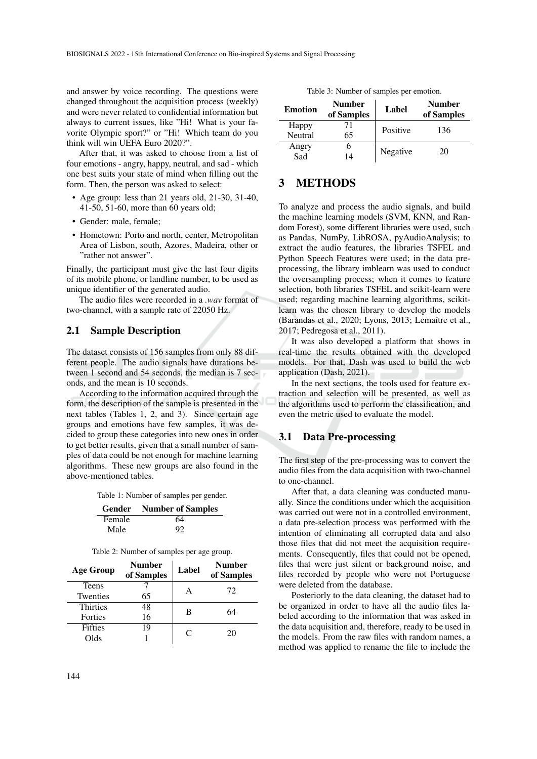and answer by voice recording. The questions were changed throughout the acquisition process (weekly) and were never related to confidential information but always to current issues, like "Hi! What is your favorite Olympic sport?" or "Hi! Which team do you think will win UEFA Euro 2020?".

After that, it was asked to choose from a list of four emotions - angry, happy, neutral, and sad - which one best suits your state of mind when filling out the form. Then, the person was asked to select:

- Age group: less than 21 years old, 21-30, 31-40, 41-50, 51-60, more than 60 years old;
- Gender: male, female;
- Hometown: Porto and north, center, Metropolitan Area of Lisbon, south, Azores, Madeira, other or "rather not answer".

Finally, the participant must give the last four digits of its mobile phone, or landline number, to be used as unique identifier of the generated audio.

The audio files were recorded in a *.wav* format of two-channel, with a sample rate of 22050 Hz.

## 2.1 Sample Description

The dataset consists of 156 samples from only 88 different people. The audio signals have durations between 1 second and 54 seconds, the median is 7 seconds, and the mean is 10 seconds.

According to the information acquired through the form, the description of the sample is presented in the next tables (Tables 1, 2, and 3). Since certain age groups and emotions have few samples, it was decided to group these categories into new ones in order to get better results, given that a small number of samples of data could be not enough for machine learning algorithms. These new groups are also found in the above-mentioned tables.

Table 1: Number of samples per gender.

| Gender | <b>Number of Samples</b> |
|--------|--------------------------|
| Female | 64                       |
| Male   | 92                       |

| Table 2: Number of samples per age group. |  |  |  |
|-------------------------------------------|--|--|--|
|-------------------------------------------|--|--|--|

| <b>Age Group</b> | <b>Number</b><br>of Samples | Label | Number<br>of Samples |
|------------------|-----------------------------|-------|----------------------|
| <b>Teens</b>     |                             | А     | 72                   |
| Twenties         | 65                          |       |                      |
| <b>Thirties</b>  | 48                          | B     | 64                   |
| Forties          | 16                          |       |                      |
| <b>Fifties</b>   | 19                          | C     | 20                   |
| Olds             |                             |       |                      |

|  |  | Table 3: Number of samples per emotion. |  |  |  |
|--|--|-----------------------------------------|--|--|--|
|--|--|-----------------------------------------|--|--|--|

| <b>Emotion</b>   | Number<br>of Samples | Label    | <b>Number</b><br>of Samples |
|------------------|----------------------|----------|-----------------------------|
| Happy<br>Neutral | 71<br>65             | Positive | 136                         |
| Angry<br>Sad     | 14                   | Negative | 20                          |

## 3 METHODS

To analyze and process the audio signals, and build the machine learning models (SVM, KNN, and Random Forest), some different libraries were used, such as Pandas, NumPy, LibROSA, pyAudioAnalysis; to extract the audio features, the libraries TSFEL and Python Speech Features were used; in the data preprocessing, the library imblearn was used to conduct the oversampling process; when it comes to feature selection, both libraries TSFEL and scikit-learn were used; regarding machine learning algorithms, scikitlearn was the chosen library to develop the models (Barandas et al., 2020; Lyons, 2013; Lemaître et al., 2017; Pedregosa et al., 2011).

It was also developed a platform that shows in real-time the results obtained with the developed models. For that, Dash was used to build the web application (Dash, 2021).

In the next sections, the tools used for feature extraction and selection will be presented, as well as the algorithms used to perform the classification, and even the metric used to evaluate the model.

### 3.1 Data Pre-processing

The first step of the pre-processing was to convert the audio files from the data acquisition with two-channel to one-channel.

After that, a data cleaning was conducted manually. Since the conditions under which the acquisition was carried out were not in a controlled environment, a data pre-selection process was performed with the intention of eliminating all corrupted data and also those files that did not meet the acquisition requirements. Consequently, files that could not be opened, files that were just silent or background noise, and files recorded by people who were not Portuguese were deleted from the database.

Posteriorly to the data cleaning, the dataset had to be organized in order to have all the audio files labeled according to the information that was asked in the data acquisition and, therefore, ready to be used in the models. From the raw files with random names, a method was applied to rename the file to include the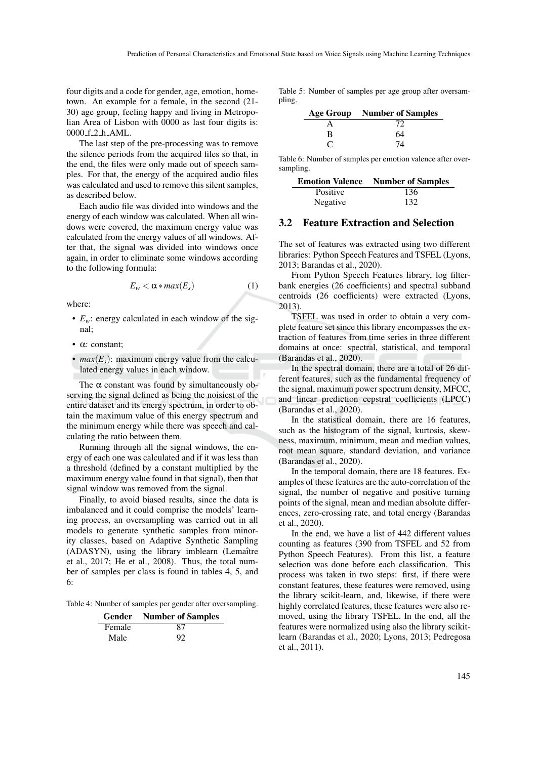four digits and a code for gender, age, emotion, hometown. An example for a female, in the second (21- 30) age group, feeling happy and living in Metropolian Area of Lisbon with 0000 as last four digits is: 0000 f 2 h AML.

The last step of the pre-processing was to remove the silence periods from the acquired files so that, in the end, the files were only made out of speech samples. For that, the energy of the acquired audio files was calculated and used to remove this silent samples, as described below.

Each audio file was divided into windows and the energy of each window was calculated. When all windows were covered, the maximum energy value was calculated from the energy values of all windows. After that, the signal was divided into windows once again, in order to eliminate some windows according to the following formula:

$$
E_w < \alpha * \max(E_s) \tag{1}
$$

where:

- $E_w$ : energy calculated in each window of the signal;
- α: constant;
- $max(E_s)$ : maximum energy value from the calculated energy values in each window.

The  $\alpha$  constant was found by simultaneously observing the signal defined as being the noisiest of the entire dataset and its energy spectrum, in order to obtain the maximum value of this energy spectrum and the minimum energy while there was speech and calculating the ratio between them.

Running through all the signal windows, the energy of each one was calculated and if it was less than a threshold (defined by a constant multiplied by the maximum energy value found in that signal), then that signal window was removed from the signal.

Finally, to avoid biased results, since the data is imbalanced and it could comprise the models' learning process, an oversampling was carried out in all models to generate synthetic samples from minority classes, based on Adaptive Synthetic Sampling (ADASYN), using the library imblearn (Lemaître et al., 2017; He et al., 2008). Thus, the total number of samples per class is found in tables 4, 5, and 6:

Table 4: Number of samples per gender after oversampling.

|        | <b>Gender</b> Number of Samples |
|--------|---------------------------------|
| Female | 87                              |
| Male   | 92                              |

Table 5: Number of samples per age group after oversampling.

|                   | <b>Age Group</b> Number of Samples |
|-------------------|------------------------------------|
|                   | 72                                 |
| B                 | 64                                 |
| $\mathbf{\Gamma}$ | 74                                 |

Table 6: Number of samples per emotion valence after oversampling.

|          | <b>Emotion Valence</b> Number of Samples |
|----------|------------------------------------------|
| Positive | 136                                      |
| Negative | 132                                      |

### 3.2 Feature Extraction and Selection

The set of features was extracted using two different libraries: Python Speech Features and TSFEL (Lyons, 2013; Barandas et al., 2020).

From Python Speech Features library, log filterbank energies (26 coefficients) and spectral subband centroids (26 coefficients) were extracted (Lyons, 2013).

TSFEL was used in order to obtain a very complete feature set since this library encompasses the extraction of features from time series in three different domains at once: spectral, statistical, and temporal (Barandas et al., 2020).

In the spectral domain, there are a total of 26 different features, such as the fundamental frequency of the signal, maximum power spectrum density, MFCC, and linear prediction cepstral coefficients (LPCC) (Barandas et al., 2020).

In the statistical domain, there are 16 features, such as the histogram of the signal, kurtosis, skewness, maximum, minimum, mean and median values, root mean square, standard deviation, and variance (Barandas et al., 2020).

In the temporal domain, there are 18 features. Examples of these features are the auto-correlation of the signal, the number of negative and positive turning points of the signal, mean and median absolute differences, zero-crossing rate, and total energy (Barandas et al., 2020).

In the end, we have a list of 442 different values counting as features (390 from TSFEL and 52 from Python Speech Features). From this list, a feature selection was done before each classification. This process was taken in two steps: first, if there were constant features, these features were removed, using the library scikit-learn, and, likewise, if there were highly correlated features, these features were also removed, using the library TSFEL. In the end, all the features were normalized using also the library scikitlearn (Barandas et al., 2020; Lyons, 2013; Pedregosa et al., 2011).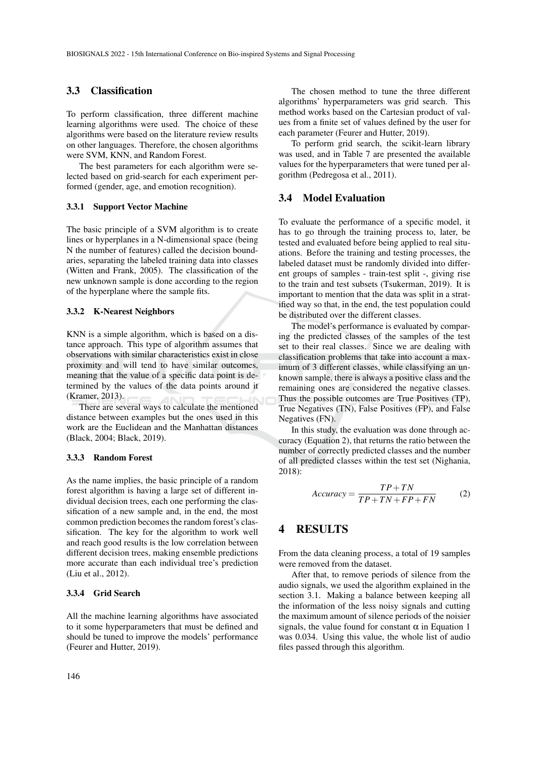### 3.3 Classification

To perform classification, three different machine learning algorithms were used. The choice of these algorithms were based on the literature review results on other languages. Therefore, the chosen algorithms were SVM, KNN, and Random Forest.

The best parameters for each algorithm were selected based on grid-search for each experiment performed (gender, age, and emotion recognition).

#### 3.3.1 Support Vector Machine

The basic principle of a SVM algorithm is to create lines or hyperplanes in a N-dimensional space (being N the number of features) called the decision boundaries, separating the labeled training data into classes (Witten and Frank, 2005). The classification of the new unknown sample is done according to the region of the hyperplane where the sample fits.

#### 3.3.2 K-Nearest Neighbors

KNN is a simple algorithm, which is based on a distance approach. This type of algorithm assumes that observations with similar characteristics exist in close proximity and will tend to have similar outcomes, meaning that the value of a specific data point is determined by the values of the data points around it (Kramer, 2013).

There are several ways to calculate the mentioned distance between examples but the ones used in this work are the Euclidean and the Manhattan distances (Black, 2004; Black, 2019).

#### 3.3.3 Random Forest

As the name implies, the basic principle of a random forest algorithm is having a large set of different individual decision trees, each one performing the classification of a new sample and, in the end, the most common prediction becomes the random forest's classification. The key for the algorithm to work well and reach good results is the low correlation between different decision trees, making ensemble predictions more accurate than each individual tree's prediction (Liu et al., 2012).

#### 3.3.4 Grid Search

All the machine learning algorithms have associated to it some hyperparameters that must be defined and should be tuned to improve the models' performance (Feurer and Hutter, 2019).

The chosen method to tune the three different algorithms' hyperparameters was grid search. This method works based on the Cartesian product of values from a finite set of values defined by the user for each parameter (Feurer and Hutter, 2019).

To perform grid search, the scikit-learn library was used, and in Table 7 are presented the available values for the hyperparameters that were tuned per algorithm (Pedregosa et al., 2011).

### 3.4 Model Evaluation

To evaluate the performance of a specific model, it has to go through the training process to, later, be tested and evaluated before being applied to real situations. Before the training and testing processes, the labeled dataset must be randomly divided into different groups of samples - train-test split -, giving rise to the train and test subsets (Tsukerman, 2019). It is important to mention that the data was split in a stratified way so that, in the end, the test population could be distributed over the different classes.

The model's performance is evaluated by comparing the predicted classes of the samples of the test set to their real classes. Since we are dealing with classification problems that take into account a maximum of 3 different classes, while classifying an unknown sample, there is always a positive class and the remaining ones are considered the negative classes. Thus the possible outcomes are True Positives (TP), True Negatives (TN), False Positives (FP), and False Negatives (FN).

In this study, the evaluation was done through accuracy (Equation 2), that returns the ratio between the number of correctly predicted classes and the number of all predicted classes within the test set (Nighania, 2018):

$$
Accuracy = \frac{TP + TN}{TP + TN + FP + FN}
$$
 (2)

## 4 RESULTS

From the data cleaning process, a total of 19 samples were removed from the dataset.

After that, to remove periods of silence from the audio signals, we used the algorithm explained in the section 3.1. Making a balance between keeping all the information of the less noisy signals and cutting the maximum amount of silence periods of the noisier signals, the value found for constant  $\alpha$  in Equation 1 was 0.034. Using this value, the whole list of audio files passed through this algorithm.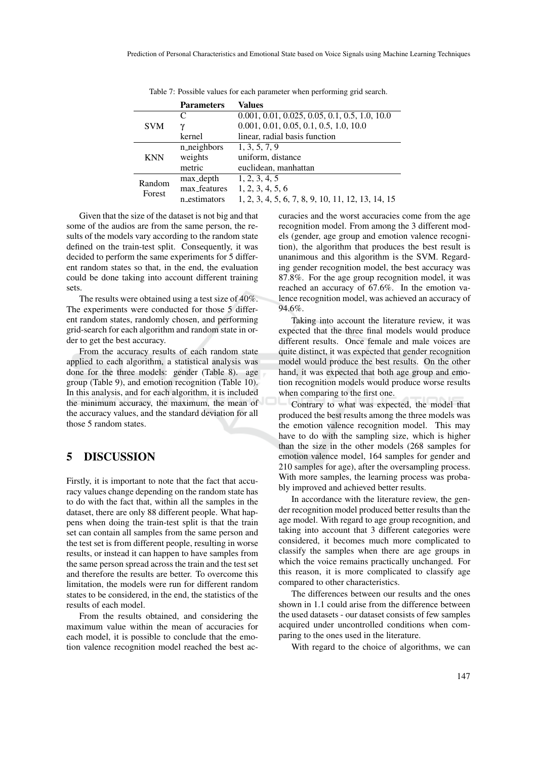|            | <b>Parameters</b> | Values                                            |
|------------|-------------------|---------------------------------------------------|
|            | C                 | $0.001, 0.01, 0.025, 0.05, 0.1, 0.5, 1.0, 10.0$   |
| <b>SVM</b> |                   | $0.001, 0.01, 0.05, 0.1, 0.5, 1.0, 10.0$          |
|            | kernel            | linear, radial basis function                     |
|            | n_neighbors       | 1, 3, 5, 7, 9                                     |
| <b>KNN</b> | weights           | uniform, distance                                 |
|            | metric            | euclidean, manhattan                              |
| Random     | max_depth         | 1, 2, 3, 4, 5                                     |
| Forest     | max_features      | 1, 2, 3, 4, 5, 6                                  |
|            | n_estimators      | 1, 2, 3, 4, 5, 6, 7, 8, 9, 10, 11, 12, 13, 14, 15 |

Table 7: Possible values for each parameter when performing grid search.

Given that the size of the dataset is not big and that some of the audios are from the same person, the results of the models vary according to the random state defined on the train-test split. Consequently, it was decided to perform the same experiments for 5 different random states so that, in the end, the evaluation could be done taking into account different training sets.

The results were obtained using a test size of 40%. The experiments were conducted for those 5 different random states, randomly chosen, and performing grid-search for each algorithm and random state in order to get the best accuracy.

From the accuracy results of each random state applied to each algorithm, a statistical analysis was done for the three models: gender (Table 8). age group (Table 9), and emotion recognition (Table 10). In this analysis, and for each algorithm, it is included the minimum accuracy, the maximum, the mean of the accuracy values, and the standard deviation for all those 5 random states.

### 5 DISCUSSION

Firstly, it is important to note that the fact that accuracy values change depending on the random state has to do with the fact that, within all the samples in the dataset, there are only 88 different people. What happens when doing the train-test split is that the train set can contain all samples from the same person and the test set is from different people, resulting in worse results, or instead it can happen to have samples from the same person spread across the train and the test set and therefore the results are better. To overcome this limitation, the models were run for different random states to be considered, in the end, the statistics of the results of each model.

From the results obtained, and considering the maximum value within the mean of accuracies for each model, it is possible to conclude that the emotion valence recognition model reached the best accuracies and the worst accuracies come from the age recognition model. From among the 3 different models (gender, age group and emotion valence recognition), the algorithm that produces the best result is unanimous and this algorithm is the SVM. Regarding gender recognition model, the best accuracy was 87.8%. For the age group recognition model, it was reached an accuracy of 67.6%. In the emotion valence recognition model, was achieved an accuracy of 94.6%.

Taking into account the literature review, it was expected that the three final models would produce different results. Once female and male voices are quite distinct, it was expected that gender recognition model would produce the best results. On the other hand, it was expected that both age group and emotion recognition models would produce worse results when comparing to the first one.

Contrary to what was expected, the model that produced the best results among the three models was the emotion valence recognition model. This may have to do with the sampling size, which is higher than the size in the other models (268 samples for emotion valence model, 164 samples for gender and 210 samples for age), after the oversampling process. With more samples, the learning process was probably improved and achieved better results.

In accordance with the literature review, the gender recognition model produced better results than the age model. With regard to age group recognition, and taking into account that 3 different categories were considered, it becomes much more complicated to classify the samples when there are age groups in which the voice remains practically unchanged. For this reason, it is more complicated to classify age compared to other characteristics.

The differences between our results and the ones shown in 1.1 could arise from the difference between the used datasets - our dataset consists of few samples acquired under uncontrolled conditions when comparing to the ones used in the literature.

With regard to the choice of algorithms, we can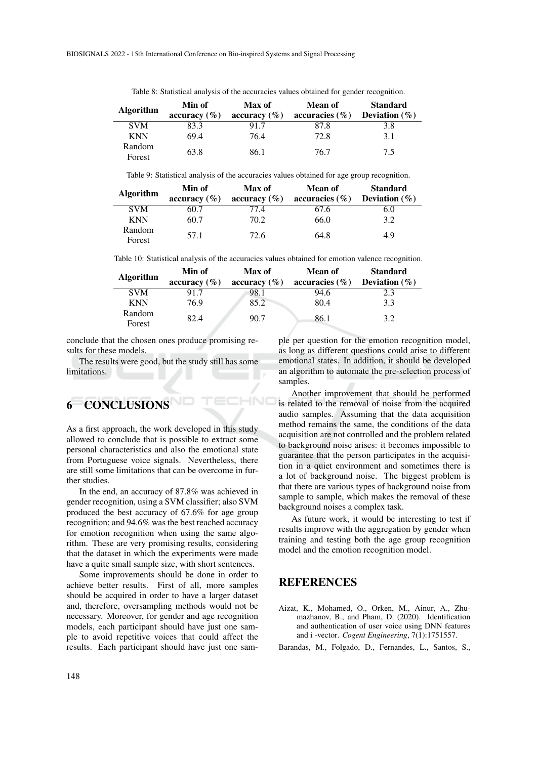| <b>Algorithm</b> | Min of<br>accuracy $(\% )$ | Max of<br>accuracy $(\% )$ | <b>Mean of</b><br>accuracies $(\% )$ | <b>Standard</b><br>Deviation $(\%)$ |
|------------------|----------------------------|----------------------------|--------------------------------------|-------------------------------------|
| <b>SVM</b>       | 83.3                       | 91.7                       | 87.8                                 | 3.8                                 |
| <b>KNN</b>       | 69.4                       | 76.4                       | 72.8                                 | 3.1                                 |
| Random<br>Forest | 63.8                       | 86.1                       | 76.7                                 | 7.5                                 |

Table 8: Statistical analysis of the accuracies values obtained for gender recognition.

Table 9: Statistical analysis of the accuracies values obtained for age group recognition.

| <b>Algorithm</b> | Min of           | Max of           | <b>Mean of</b>     | <b>Standard</b>  |
|------------------|------------------|------------------|--------------------|------------------|
|                  | accuracy $(\% )$ | accuracy $(\% )$ | accuracies $(\% )$ | Deviation $(\%)$ |
| <b>SVM</b>       | 60.7             | 77.4             | 67.6               | 6.0              |
| <b>KNN</b>       | 60.7             | 70.2             | 66.0               | 3.2              |
| Random<br>Forest | 57.1             | 72.6             | 64.8               | 4.9              |

Table 10: Statistical analysis of the accuracies values obtained for emotion valence recognition.

| <b>Algorithm</b> | Min of           | Max of           | Mean of            | <b>Standard</b>  |
|------------------|------------------|------------------|--------------------|------------------|
|                  | accuracy $(\% )$ | accuracy $(\% )$ | accuracies $(\% )$ | Deviation $(\%)$ |
| <b>SVM</b>       | 917              | 98.1             | 94.6               | 2.3              |
| <b>KNN</b>       | 76.9             | 85.2             | 80.4               | 3.3              |
| Random<br>Forest | 82.4             | 90.7             | 86.1               | 3.2              |

HNC

conclude that the chosen ones produce promising results for these models.

The results were good, but the study still has some limitations.

# **CONCLUSIONS**

As a first approach, the work developed in this study allowed to conclude that is possible to extract some personal characteristics and also the emotional state from Portuguese voice signals. Nevertheless, there are still some limitations that can be overcome in further studies.

In the end, an accuracy of 87.8% was achieved in gender recognition, using a SVM classifier; also SVM produced the best accuracy of 67.6% for age group recognition; and 94.6% was the best reached accuracy for emotion recognition when using the same algorithm. These are very promising results, considering that the dataset in which the experiments were made have a quite small sample size, with short sentences.

Some improvements should be done in order to achieve better results. First of all, more samples should be acquired in order to have a larger dataset and, therefore, oversampling methods would not be necessary. Moreover, for gender and age recognition models, each participant should have just one sample to avoid repetitive voices that could affect the results. Each participant should have just one sample per question for the emotion recognition model, as long as different questions could arise to different emotional states. In addition, it should be developed an algorithm to automate the pre-selection process of samples.

Another improvement that should be performed is related to the removal of noise from the acquired audio samples. Assuming that the data acquisition method remains the same, the conditions of the data acquisition are not controlled and the problem related to background noise arises: it becomes impossible to guarantee that the person participates in the acquisition in a quiet environment and sometimes there is a lot of background noise. The biggest problem is that there are various types of background noise from sample to sample, which makes the removal of these background noises a complex task.

As future work, it would be interesting to test if results improve with the aggregation by gender when training and testing both the age group recognition model and the emotion recognition model.

## REFERENCES

Aizat, K., Mohamed, O., Orken, M., Ainur, A., Zhumazhanov, B., and Pham, D. (2020). Identification and authentication of user voice using DNN features and i -vector. *Cogent Engineering*, 7(1):1751557.

Barandas, M., Folgado, D., Fernandes, L., Santos, S.,